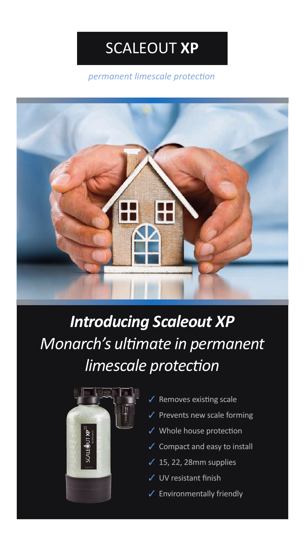*permanent limescale protection*



# *Introducing Scaleout XP Monarch's ultimate in permanent limescale protection*



- Removes existing scale
- Prevents new scale forming
- Whole house protection
- Compact and easy to install
- $√ 15, 22, 28mm$  supplies
- UV resistant finish
- ✓ Environmentally friendly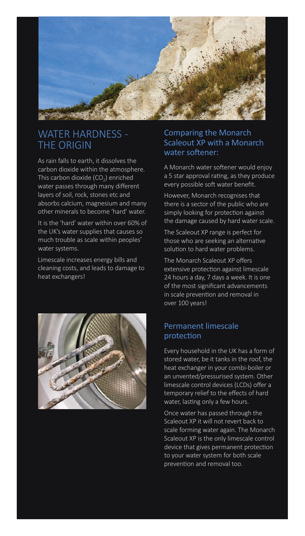

#### WATER HARDNESS - THE ORIGIN

As rain falls to earth, it dissolves the carbon dioxide within the atmosphere. This carbon dioxide  $(CO<sub>2</sub>)$  enriched water passes through many different layers of soil, rock, stones etc and absorbs calcium, magnesium and many other minerals to become 'hard' water.

It is the 'hard' water within over 60% of the UK's water supplies that causes so much trouble as scale within peoples' water systems.

Limescale increases energy bills and cleaning costs, and leads to damage to heat exchangers!



#### Comparing the Monarch Scaleout XP with a Monarch water softener:

A Monarch water softener would enjoy a 5 star approval rating, as they produce every possible soft water benefit.

However, Monarch recognises that there is a sector of the public who are simply looking for protection against the damage caused by hard water scale.

The Scaleout XP range is perfect for those who are seeking an alternative solution to hard water problems.

The Monarch Scaleout XP offers extensive protection against limescale 24 hours a day, 7 days a week. It is one of the most significant advancements in scale prevention and removal in over 100 years!

#### Permanent limescale protection

Every household in the UK has a form of stored water, be it tanks in the roof, the heat exchanger in your combi-boiler or an unvented/pressurised system. Other limescale control devices (LCDs) offer a temporary relief to the effects of hard water, lasting only a few hours.

Once water has passed through the Scaleout XP it will not revert back to scale forming water again. The Monarch Scaleout XP is the only limescale control device that gives permanent protection to your water system for both scale prevention and removal too.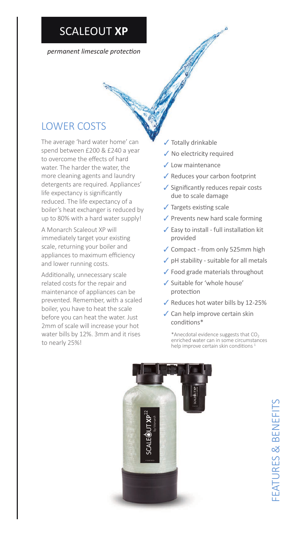*permanent limescale protection*

### LOWER COSTS

The average 'hard water home' can spend between £200 & £240 a year to overcome the effects of hard water. The harder the water, the more cleaning agents and laundry detergents are required. Appliances' life expectancy is significantly reduced. The life expectancy of a boiler's heat exchanger is reduced by up to 80% with a hard water supply!

A Monarch Scaleout XP will immediately target your existing scale, returning your boiler and appliances to maximum efficiency and lower running costs.

Additionally, unnecessary scale related costs for the repair and maintenance of appliances can be prevented. Remember, with a scaled boiler, you have to heat the scale before you can heat the water. Just 2mm of scale will increase your hot water bills by 12%. 3mm and it rises to nearly 25%!

- ✓ Totally drinkable
- ✓ No electricity required
- ✓ Low maintenance
- ✓ Reduces your carbon footprint
- ✓ Significantly reduces repair costs due to scale damage

Cape of

- $\sqrt{\ }$  Targets existing scale
- ✓ Prevents new hard scale forming
- $\checkmark$  Easy to install full installation kit provided
- ✓ Compact from only 525mm high
- $\checkmark$  pH stability suitable for all metals
- ✓ Food grade materials throughout
- ✓ Suitable for 'whole house' protection
- ✓ Reduces hot water bills by 12-25%
- ✓ Can help improve certain skin conditions\*

\*Anecdotal evidence suggests that  $CO<sub>2</sub>$ enriched water can in some circumstances help improve certain skin conditions<sup>1</sup>

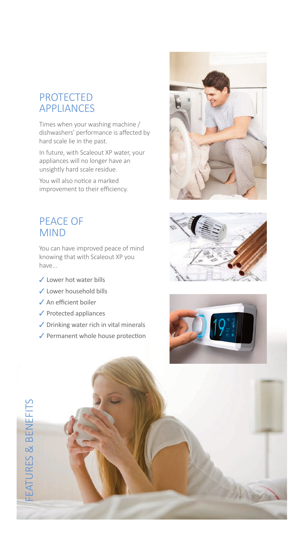#### PROTECTED APPLIANCES

Times when your washing machine / dishwashers' performance is affected by hard scale lie in the past.

In future, with Scaleout XP water, your appliances will no longer have an unsightly hard scale residue.

You will also notice a marked improvement to their efficiency.

#### PEACE OF MIND

You can have improved peace of mind knowing that with Scaleout XP you have...

- ✓ Lower hot water bills
- ✓ Lower household bills
- ✓ An efficient boiler
- ✓ Protected appliances
- ✓ Drinking water rich in vital minerals
- ✓ Permanent whole house protection







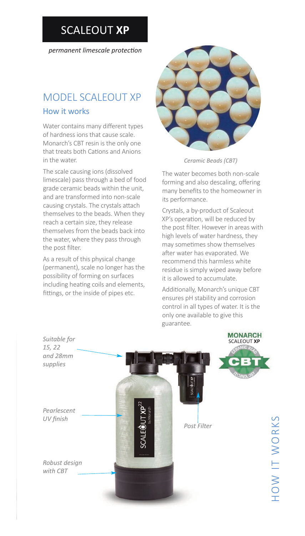*permanent limescale protection*

## MODEL SCALEOUT XP

#### How it works

Water contains many different types of hardness ions that cause scale. Monarch's CBT resin is the only one that treats both Cations and Anions in the water.

The scale causing ions (dissolved limescale) pass through a bed of food grade ceramic beads within the unit, and are transformed into non-scale causing crystals. The crystals attach themselves to the beads. When they reach a certain size, they release themselves from the beads back into the water, where they pass through the post filter.

As a result of this physical change (permanent), scale no longer has the possibility of forming on surfaces including heating coils and elements, fittings, or the inside of pipes etc.



*Ceramic Beads (CBT)*

The water becomes both non-scale forming and also descaling, offering many benefits to the homeowner in its performance.

Crystals, a by-product of Scaleout XP's operation, will be reduced by the post filter. However in areas with high levels of water hardness, they may sometimes show themselves after water has evaporated. We recommend this harmless white residue is simply wiped away before it is allowed to accumulate.

Additionally, Monarch's unique CBT ensures pH stability and corrosion control in all types of water. It is the only one available to give this guarantee.

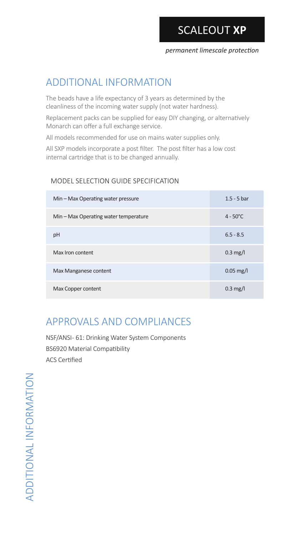### ADDITIONAL INFORMATION

The beads have a life expectancy of 3 years as determined by the cleanliness of the incoming water supply (not water hardness).

Replacement packs can be supplied for easy DIY changing, or alternatively Monarch can offer a full exchange service.

All models recommended for use on mains water supplies only.

All SXP models incorporate a post filter. The post filter has a low cost internal cartridge that is to be changed annually.

#### MODEL SELECTION GUIDE SPECIFICATION

| Min - Max Operating water pressure    | $1.5 - 5$ bar          |
|---------------------------------------|------------------------|
| Min – Max Operating water temperature | $4 - 50^{\circ}$ C     |
| pH                                    | $6.5 - 8.5$            |
| Max Iron content                      | $0.3 \text{ mg/l}$     |
| Max Manganese content                 | $0.05 \,\mathrm{mg/l}$ |
| Max Copper content                    | $0.3 \text{ mg/l}$     |

### APPROVALS AND COMPLIANCES

NSF/ANSI- 61: Drinking Water System Components BS6920 Material Compatibility ACS Certified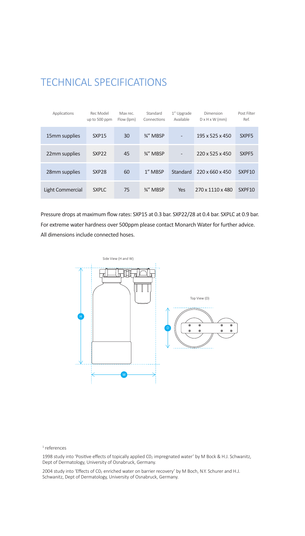### TECHNICAL SPECIFICATIONS

| Applications     | Rec Model<br>up to 500 ppm | Max rec.<br>Flow (lpm) | Standard<br>Connections | 1" Upgrade<br>Available  | Dimension<br>$D \times H \times W$ (mm) | Post Filter<br>Ref. |
|------------------|----------------------------|------------------------|-------------------------|--------------------------|-----------------------------------------|---------------------|
| 15mm supplies    | <b>SXP15</b>               | 30                     | 3/4" MBSP               | $\overline{a}$           | 195 x 525 x 450                         | SXPF <sub>5</sub>   |
| 22mm supplies    | SXP <sub>22</sub>          | 45                     | 3/4" MBSP               | $\overline{\phantom{a}}$ | $220 \times 525 \times 450$             | SXPF <sub>5</sub>   |
| 28mm supplies    | SXP <sub>28</sub>          | 60                     | 1" MBSP                 | Standard                 | $220 \times 660 \times 450$             | SXPF10              |
| Light Commercial | <b>SXPLC</b>               | 75                     | 3/4" MBSP               | Yes                      | 270 x 1110 x 480                        | SXPF10              |

Pressure drops at maximum flow rates: SXP15 at 0.3 bar. SXP22/28 at 0.4 bar. SXPLC at 0.9 bar. For extreme water hardness over 500ppm please contact Monarch Water for further advice. All dimensions include connected hoses.



#### <sup>1</sup> references

1998 study into 'Positive effects of topically applied C02 impregnated water' by M Bock & H.J. Schwanitz, Dept of Dermatology, University of Osnabruck, Germany.

2004 study into 'Effects of CO<sub>2</sub> enriched water on barrier recovery' by M Boch, N.Y. Schurer and H.J. Schwanitz, Dept of Dermatology, University of Osnabruck, Germany.